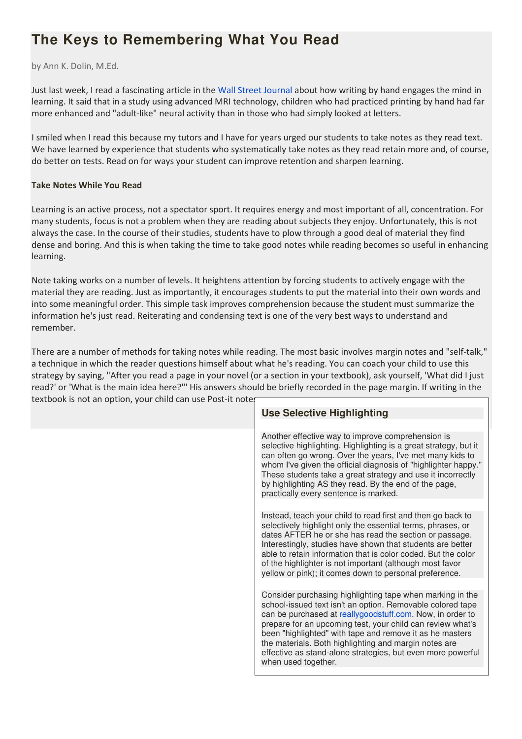# **The Keys to Remembering What You Read**

by Ann K. Dolin, M.Ed.

Just last week, I read a fascinating article in the Wall Street Journal about how writing by hand engages the mind in learning. It said that in a study using advanced MRI technology, children who had practiced printing by hand had far more enhanced and "adult-like" neural activity than in those who had simply looked at letters.

I smiled when I read this because my tutors and I have for years urged our students to take notes as they read text. We have learned by experience that students who systematically take notes as they read retain more and, of course, do better on tests. Read on for ways your student can improve retention and sharpen learning.

### **Take Notes While You Read**

Learning is an active process, not a spectator sport. It requires energy and most important of all, concentration. For many students, focus is not a problem when they are reading about subjects they enjoy. Unfortunately, this is not always the case. In the course of their studies, students have to plow through a good deal of material they find dense and boring. And this is when taking the time to take good notes while reading becomes so useful in enhancing learning.

Note taking works on a number of levels. It heightens attention by forcing students to actively engage with the material they are reading. Just as importantly, it encourages students to put the material into their own words and into some meaningful order. This simple task improves comprehension because the student must summarize the information he's just read. Reiterating and condensing text is one of the very best ways to understand and remember.

There are a number of methods for taking notes while reading. The most basic involves margin notes and "self-talk," a technique in which the reader questions himself about what he's reading. You can coach your child to use this strategy by saying, "After you read a page in your novel (or a section in your textbook), ask yourself, 'What did I just read?' or 'What is the main idea here?'" His answers should be briefly recorded in the page margin. If writing in the textbook is not an option, your child can use Post-it notes.

| EXIDOON IS HOT ALL OPTION, YOUL CHING CALL USE F OST-IT HOTE. |                                                                                                                                                                                                                                                                                                                                                                                                                                                               |
|---------------------------------------------------------------|---------------------------------------------------------------------------------------------------------------------------------------------------------------------------------------------------------------------------------------------------------------------------------------------------------------------------------------------------------------------------------------------------------------------------------------------------------------|
|                                                               | <b>Use Selective Highlighting</b>                                                                                                                                                                                                                                                                                                                                                                                                                             |
|                                                               |                                                                                                                                                                                                                                                                                                                                                                                                                                                               |
|                                                               | Another effective way to improve comprehension is<br>selective highlighting. Highlighting is a great strategy, but it<br>can often go wrong. Over the years, I've met many kids to<br>whom I've given the official diagnosis of "highlighter happy."<br>These students take a great strategy and use it incorrectly<br>by highlighting AS they read. By the end of the page,<br>practically every sentence is marked.                                         |
|                                                               | Instead, teach your child to read first and then go back to<br>selectively highlight only the essential terms, phrases, or<br>dates AFTER he or she has read the section or passage.<br>Interestingly, studies have shown that students are better<br>able to retain information that is color coded. But the color<br>of the highlighter is not important (although most favor<br>yellow or pink); it comes down to personal preference.                     |
|                                                               | Consider purchasing highlighting tape when marking in the<br>school-issued text isn't an option. Removable colored tape<br>can be purchased at reallygoodstuff.com. Now, in order to<br>prepare for an upcoming test, your child can review what's<br>been "highlighted" with tape and remove it as he masters<br>the materials. Both highlighting and margin notes are<br>effective as stand-alone strategies, but even more powerful<br>when used together. |
|                                                               |                                                                                                                                                                                                                                                                                                                                                                                                                                                               |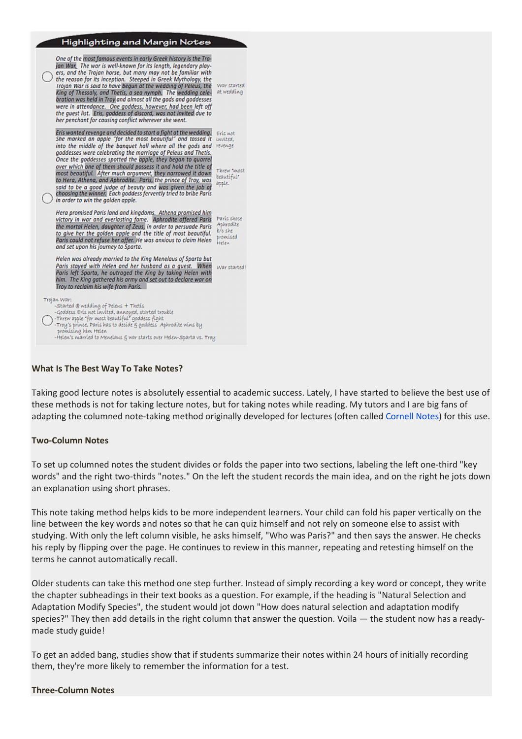| Highlighting and Margin Notes                                                                                                                                                                                                                                                                                                                                                                                                                                                                                                                                                                                                                                      |                                                          |
|--------------------------------------------------------------------------------------------------------------------------------------------------------------------------------------------------------------------------------------------------------------------------------------------------------------------------------------------------------------------------------------------------------------------------------------------------------------------------------------------------------------------------------------------------------------------------------------------------------------------------------------------------------------------|----------------------------------------------------------|
| One of the most famous events in early Greek history is the Tro-<br>jan War. The war is well-known for its length, legendary play-<br>ers, and the Trojan horse, but many may not be familiar with<br>the reason for its inception. Steeped in Greek Mythology, the<br>Trojan War is said to have begun at the wedding of Peleus, the<br>King of Thessaly, and Thetis, a sea nymph. The wedding cele-<br>bration was held in Troy and almost all the gods and goddesses<br>were in attendance. One goddess, however, had been left off<br>the quest list. Eris, goddess of discord, was not invited due to<br>her penchant for causing conflict wherever she went. | War started<br>at wedding                                |
| Eris wanted revenge and decided to start a fight at the wedding.<br>She marked an apple "for the most beautiful" and tossed it<br>into the middle of the banquet hall where all the gods and<br>goddesses were celebrating the marriage of Peleus and Thetis.<br>Once the goddesses spotted the apple, they began to quarrel                                                                                                                                                                                                                                                                                                                                       | Eris not<br>invited.<br>revenge                          |
| over which one of them should possess it and hold the title of<br>most beautiful. After much argument, they narrowed it down<br>to Hera, Athena, and Aphrodite. Paris, the prince of Troy, was<br>said to be a good judge of beauty and was given the job of<br>choosing the winner. Each goddess fervently tried to bribe Paris<br>in order to win the golden apple.                                                                                                                                                                                                                                                                                              | Threw 'most<br>beautiful"<br>apple.                      |
| Hera promised Paris land and kingdoms. Athena promised him<br>victory in war and everlasting fame. Aphrodite offered Paris<br>the mortal Helen, daughter of Zeus, in order to persuade Paris<br>to give her the golden apple and the title of most beautiful.<br>Paris could not refuse her offer. He was anxious to claim Helen<br>and set upon his journey to Sparta.                                                                                                                                                                                                                                                                                            | París chose<br>Aphrodite<br>b/c she<br>promised<br>Helen |
| Helen was already married to the King Menelaus of Sparta but<br>Paris stayed with Helen and her husband as a quest. When<br>Paris left Sparta, he outraged the King by taking Helen with<br>him. The King gathered his army and set out to declare war on<br>Troy to reclaim his wife from Paris.                                                                                                                                                                                                                                                                                                                                                                  | War started!                                             |
| Trojan War:<br>-Started @ wedding of Peleus + Thetis<br>-Goddess Eris not invited, annoued, started trouble<br>-Threw apple "for most beautiful" goddess fight<br>-Troy's prince, Paris has to decide & goddess Aphrodite wins by<br>promising him Helen<br>-Helew's married to Menelaus & war starts over Helen-Sparta vs. Troy                                                                                                                                                                                                                                                                                                                                   |                                                          |
|                                                                                                                                                                                                                                                                                                                                                                                                                                                                                                                                                                                                                                                                    |                                                          |

## **What Is The Best Way To Take Notes?**

Taking good lecture notes is absolutely essential to academic success. Lately, I have started to believe the best use of these methods is not for taking lecture notes, but for taking notes while reading. My tutors and I are big fans of adapting the columned note-taking method originally developed for lectures (often called Cornell Notes) for this use.

#### **Two-Column Notes**

To set up columned notes the student divides or folds the paper into two sections, labeling the left one-third "key words" and the right two-thirds "notes." On the left the student records the main idea, and on the right he jots down an explanation using short phrases.

This note taking method helps kids to be more independent learners. Your child can fold his paper vertically on the line between the key words and notes so that he can quiz himself and not rely on someone else to assist with studying. With only the left column visible, he asks himself, "Who was Paris?" and then says the answer. He checks his reply by flipping over the page. He continues to review in this manner, repeating and retesting himself on the terms he cannot automatically recall.

Older students can take this method one step further. Instead of simply recording a key word or concept, they write the chapter subheadings in their text books as a question. For example, if the heading is "Natural Selection and Adaptation Modify Species", the student would jot down "How does natural selection and adaptation modify species?" They then add details in the right column that answer the question. Voila — the student now has a readymade study guide!

To get an added bang, studies show that if students summarize their notes within 24 hours of initially recording them, they're more likely to remember the information for a test.

#### **Three-Column Notes**